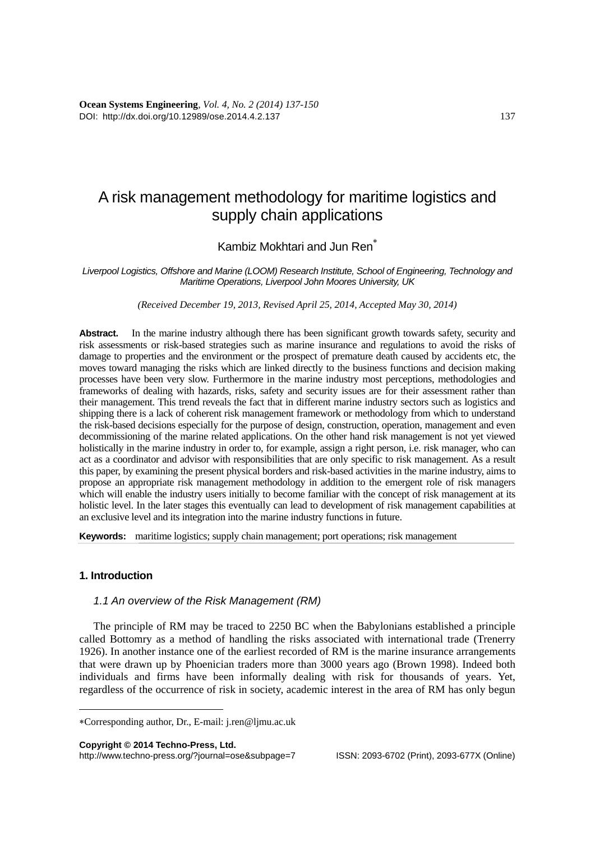**Ocean Systems Engineering***, Vol. 4, No. 2 (2014) 137-150* DOI: http://dx.doi.org/10.12989/ose.2014.4.2.137 137

# A risk management methodology for maritime logistics and supply chain applications

## Kambiz Mokhtari and Jun Ren

*Liverpool Logistics, Offshore and Marine (LOOM) Research Institute, School of Engineering, Technology and Maritime Operations, Liverpool John Moores University, UK* 

*(Received December 19, 2013, Revised April 25, 2014, Accepted May 30, 2014)* 

Abstract. In the marine industry although there has been significant growth towards safety, security and risk assessments or risk-based strategies such as marine insurance and regulations to avoid the risks of damage to properties and the environment or the prospect of premature death caused by accidents etc, the moves toward managing the risks which are linked directly to the business functions and decision making processes have been very slow. Furthermore in the marine industry most perceptions, methodologies and frameworks of dealing with hazards, risks, safety and security issues are for their assessment rather than their management. This trend reveals the fact that in different marine industry sectors such as logistics and shipping there is a lack of coherent risk management framework or methodology from which to understand the risk-based decisions especially for the purpose of design, construction, operation, management and even decommissioning of the marine related applications. On the other hand risk management is not yet viewed holistically in the marine industry in order to, for example, assign a right person, i.e. risk manager, who can act as a coordinator and advisor with responsibilities that are only specific to risk management. As a result this paper, by examining the present physical borders and risk-based activities in the marine industry, aims to propose an appropriate risk management methodology in addition to the emergent role of risk managers which will enable the industry users initially to become familiar with the concept of risk management at its holistic level. In the later stages this eventually can lead to development of risk management capabilities at an exclusive level and its integration into the marine industry functions in future.

**Keywords:** maritime logistics; supply chain management; port operations; risk management

#### **1. Introduction**

#### *1.1 An overview of the Risk Management (RM)*

The principle of RM may be traced to 2250 BC when the Babylonians established a principle called Bottomry as a method of handling the risks associated with international trade (Trenerry 1926). In another instance one of the earliest recorded of RM is the marine insurance arrangements that were drawn up by Phoenician traders more than 3000 years ago (Brown 1998). Indeed both individuals and firms have been informally dealing with risk for thousands of years. Yet, regardless of the occurrence of risk in society, academic interest in the area of RM has only begun

**Copyright © 2014 Techno-Press, Ltd.** 

http://www.techno-press.org/?journal=ose&subpage=7 ISSN: 2093-6702 (Print), 2093-677X (Online)

Corresponding author, Dr., E-mail: j.ren@ljmu.ac.uk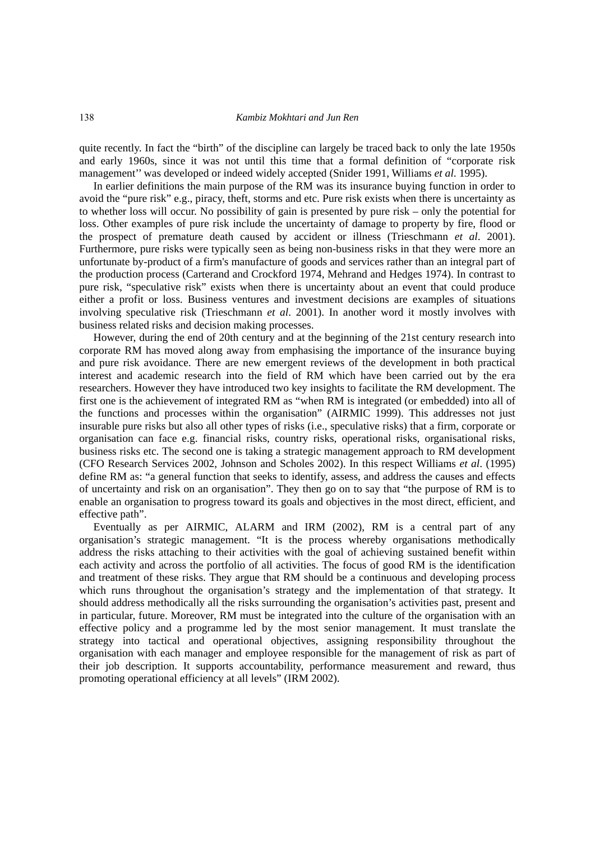quite recently. In fact the "birth" of the discipline can largely be traced back to only the late 1950s and early 1960s, since it was not until this time that a formal definition of "corporate risk management'' was developed or indeed widely accepted (Snider 1991, Williams *et al*. 1995).

In earlier definitions the main purpose of the RM was its insurance buying function in order to avoid the "pure risk" e.g., piracy, theft, storms and etc. Pure risk exists when there is uncertainty as to whether loss will occur. No possibility of gain is presented by pure risk – only the potential for loss. Other examples of pure risk include the uncertainty of damage to property by fire, flood or the prospect of premature death caused by accident or illness (Trieschmann *et al*. 2001). Furthermore, pure risks were typically seen as being non-business risks in that they were more an unfortunate by-product of a firm's manufacture of goods and services rather than an integral part of the production process (Carterand and Crockford 1974, Mehrand and Hedges 1974). In contrast to pure risk, "speculative risk" exists when there is uncertainty about an event that could produce either a profit or loss. Business ventures and investment decisions are examples of situations involving speculative risk (Trieschmann *et al*. 2001). In another word it mostly involves with business related risks and decision making processes.

However, during the end of 20th century and at the beginning of the 21st century research into corporate RM has moved along away from emphasising the importance of the insurance buying and pure risk avoidance. There are new emergent reviews of the development in both practical interest and academic research into the field of RM which have been carried out by the era researchers. However they have introduced two key insights to facilitate the RM development. The first one is the achievement of integrated RM as "when RM is integrated (or embedded) into all of the functions and processes within the organisation" (AIRMIC 1999). This addresses not just insurable pure risks but also all other types of risks (i.e., speculative risks) that a firm, corporate or organisation can face e.g. financial risks, country risks, operational risks, organisational risks, business risks etc. The second one is taking a strategic management approach to RM development (CFO Research Services 2002, Johnson and Scholes 2002). In this respect Williams *et al*. (1995) define RM as: "a general function that seeks to identify, assess, and address the causes and effects of uncertainty and risk on an organisation". They then go on to say that "the purpose of RM is to enable an organisation to progress toward its goals and objectives in the most direct, efficient, and effective path".

Eventually as per AIRMIC, ALARM and IRM (2002), RM is a central part of any organisation's strategic management. "It is the process whereby organisations methodically address the risks attaching to their activities with the goal of achieving sustained benefit within each activity and across the portfolio of all activities. The focus of good RM is the identification and treatment of these risks. They argue that RM should be a continuous and developing process which runs throughout the organisation's strategy and the implementation of that strategy. It should address methodically all the risks surrounding the organisation's activities past, present and in particular, future. Moreover, RM must be integrated into the culture of the organisation with an effective policy and a programme led by the most senior management. It must translate the strategy into tactical and operational objectives, assigning responsibility throughout the organisation with each manager and employee responsible for the management of risk as part of their job description. It supports accountability, performance measurement and reward, thus promoting operational efficiency at all levels" (IRM 2002).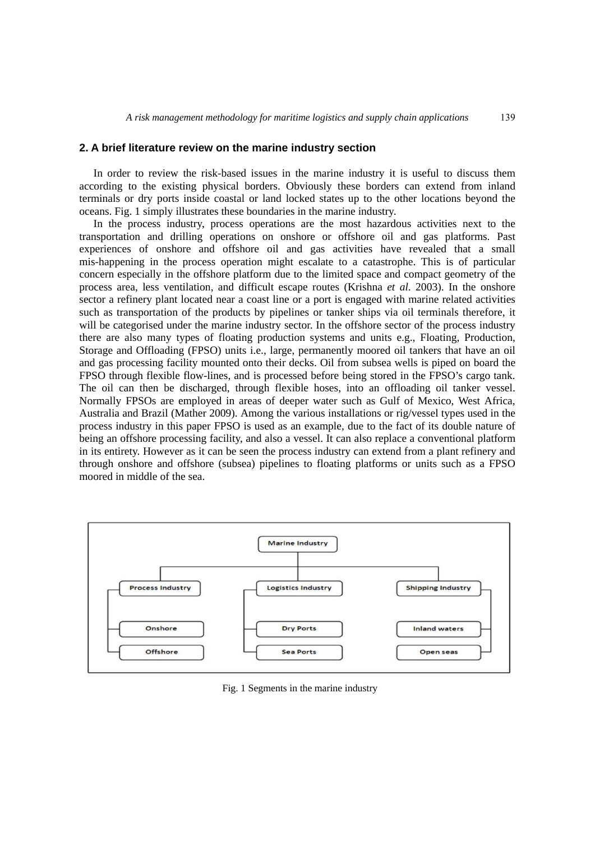#### **2. A brief literature review on the marine industry section**

In order to review the risk-based issues in the marine industry it is useful to discuss them according to the existing physical borders. Obviously these borders can extend from inland terminals or dry ports inside coastal or land locked states up to the other locations beyond the oceans. Fig. 1 simply illustrates these boundaries in the marine industry.

In the process industry, process operations are the most hazardous activities next to the transportation and drilling operations on onshore or offshore oil and gas platforms. Past experiences of onshore and offshore oil and gas activities have revealed that a small mis-happening in the process operation might escalate to a catastrophe. This is of particular concern especially in the offshore platform due to the limited space and compact geometry of the process area, less ventilation, and difficult escape routes (Krishna *et al*. 2003). In the onshore sector a refinery plant located near a coast line or a port is engaged with marine related activities such as transportation of the products by pipelines or tanker ships via oil terminals therefore, it will be categorised under the marine industry sector. In the offshore sector of the process industry there are also many types of floating production systems and units e.g., Floating, Production, Storage and Offloading (FPSO) units i.e., large, permanently moored oil tankers that have an oil and gas processing facility mounted onto their decks. Oil from subsea wells is piped on board the FPSO through flexible flow-lines, and is processed before being stored in the FPSO's cargo tank. The oil can then be discharged, through flexible hoses, into an offloading oil tanker vessel. Normally FPSOs are employed in areas of deeper water such as Gulf of Mexico, West Africa, Australia and Brazil (Mather 2009). Among the various installations or rig/vessel types used in the process industry in this paper FPSO is used as an example, due to the fact of its double nature of being an offshore processing facility, and also a vessel. It can also replace a conventional platform in its entirety. However as it can be seen the process industry can extend from a plant refinery and through onshore and offshore (subsea) pipelines to floating platforms or units such as a FPSO moored in middle of the sea.



Fig. 1 Segments in the marine industry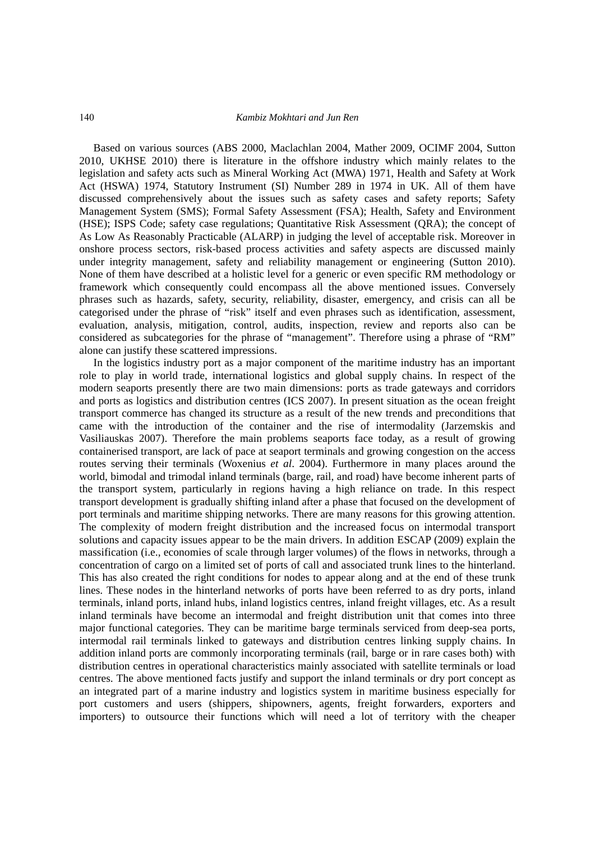Based on various sources (ABS 2000, Maclachlan 2004, Mather 2009, OCIMF 2004, Sutton 2010, UKHSE 2010) there is literature in the offshore industry which mainly relates to the legislation and safety acts such as Mineral Working Act (MWA) 1971, Health and Safety at Work Act (HSWA) 1974, Statutory Instrument (SI) Number 289 in 1974 in UK. All of them have discussed comprehensively about the issues such as safety cases and safety reports; Safety Management System (SMS); Formal Safety Assessment (FSA); Health, Safety and Environment (HSE); ISPS Code; safety case regulations; Quantitative Risk Assessment (QRA); the concept of As Low As Reasonably Practicable (ALARP) in judging the level of acceptable risk. Moreover in onshore process sectors, risk-based process activities and safety aspects are discussed mainly under integrity management, safety and reliability management or engineering (Sutton 2010). None of them have described at a holistic level for a generic or even specific RM methodology or framework which consequently could encompass all the above mentioned issues. Conversely phrases such as hazards, safety, security, reliability, disaster, emergency, and crisis can all be categorised under the phrase of "risk" itself and even phrases such as identification, assessment, evaluation, analysis, mitigation, control, audits, inspection, review and reports also can be considered as subcategories for the phrase of "management". Therefore using a phrase of "RM" alone can justify these scattered impressions.

In the logistics industry port as a major component of the maritime industry has an important role to play in world trade, international logistics and global supply chains. In respect of the modern seaports presently there are two main dimensions: ports as trade gateways and corridors and ports as logistics and distribution centres (ICS 2007). In present situation as the ocean freight transport commerce has changed its structure as a result of the new trends and preconditions that came with the introduction of the container and the rise of intermodality (Jarzemskis and Vasiliauskas 2007). Therefore the main problems seaports face today, as a result of growing containerised transport, are lack of pace at seaport terminals and growing congestion on the access routes serving their terminals (Woxenius *et al*. 2004). Furthermore in many places around the world, bimodal and trimodal inland terminals (barge, rail, and road) have become inherent parts of the transport system, particularly in regions having a high reliance on trade. In this respect transport development is gradually shifting inland after a phase that focused on the development of port terminals and maritime shipping networks. There are many reasons for this growing attention. The complexity of modern freight distribution and the increased focus on intermodal transport solutions and capacity issues appear to be the main drivers. In addition ESCAP (2009) explain the massification (i.e., economies of scale through larger volumes) of the flows in networks, through a concentration of cargo on a limited set of ports of call and associated trunk lines to the hinterland. This has also created the right conditions for nodes to appear along and at the end of these trunk lines. These nodes in the hinterland networks of ports have been referred to as dry ports, inland terminals, inland ports, inland hubs, inland logistics centres, inland freight villages, etc. As a result inland terminals have become an intermodal and freight distribution unit that comes into three major functional categories. They can be maritime barge terminals serviced from deep-sea ports, intermodal rail terminals linked to gateways and distribution centres linking supply chains. In addition inland ports are commonly incorporating terminals (rail, barge or in rare cases both) with distribution centres in operational characteristics mainly associated with satellite terminals or load centres. The above mentioned facts justify and support the inland terminals or dry port concept as an integrated part of a marine industry and logistics system in maritime business especially for port customers and users (shippers, shipowners, agents, freight forwarders, exporters and importers) to outsource their functions which will need a lot of territory with the cheaper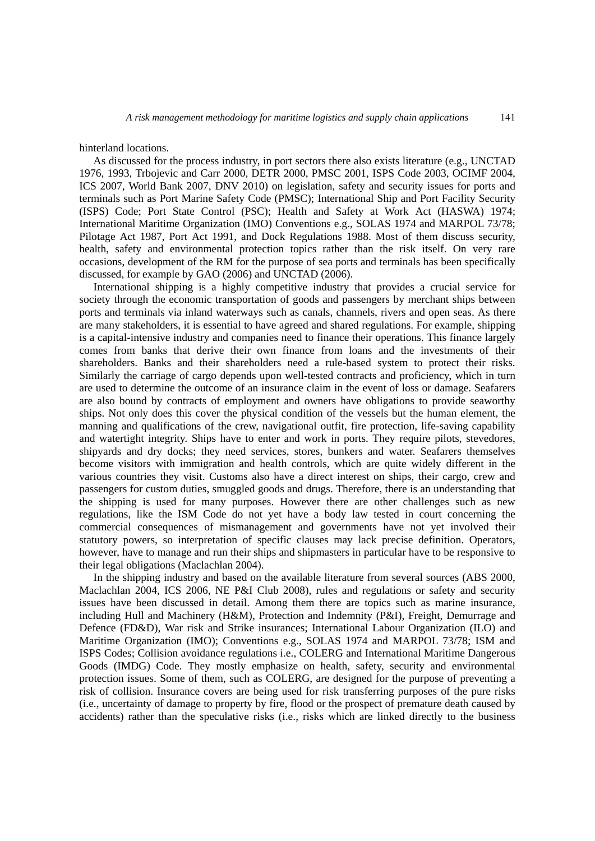hinterland locations.

As discussed for the process industry, in port sectors there also exists literature (e.g., UNCTAD 1976, 1993, Trbojevic and Carr 2000, DETR 2000, PMSC 2001, ISPS Code 2003, OCIMF 2004, ICS 2007, World Bank 2007, DNV 2010) on legislation, safety and security issues for ports and terminals such as Port Marine Safety Code (PMSC); International Ship and Port Facility Security (ISPS) Code; Port State Control (PSC); Health and Safety at Work Act (HASWA) 1974; International Maritime Organization (IMO) Conventions e.g., SOLAS 1974 and MARPOL 73/78; Pilotage Act 1987, Port Act 1991, and Dock Regulations 1988. Most of them discuss security, health, safety and environmental protection topics rather than the risk itself. On very rare occasions, development of the RM for the purpose of sea ports and terminals has been specifically discussed, for example by GAO (2006) and UNCTAD (2006).

International shipping is a highly competitive industry that provides a crucial service for society through the economic transportation of goods and passengers by merchant ships between ports and terminals via inland waterways such as canals, channels, rivers and open seas. As there are many stakeholders, it is essential to have agreed and shared regulations. For example, shipping is a capital-intensive industry and companies need to finance their operations. This finance largely comes from banks that derive their own finance from loans and the investments of their shareholders. Banks and their shareholders need a rule-based system to protect their risks. Similarly the carriage of cargo depends upon well-tested contracts and proficiency, which in turn are used to determine the outcome of an insurance claim in the event of loss or damage. Seafarers are also bound by contracts of employment and owners have obligations to provide seaworthy ships. Not only does this cover the physical condition of the vessels but the human element, the manning and qualifications of the crew, navigational outfit, fire protection, life-saving capability and watertight integrity. Ships have to enter and work in ports. They require pilots, stevedores, shipyards and dry docks; they need services, stores, bunkers and water. Seafarers themselves become visitors with immigration and health controls, which are quite widely different in the various countries they visit. Customs also have a direct interest on ships, their cargo, crew and passengers for custom duties, smuggled goods and drugs. Therefore, there is an understanding that the shipping is used for many purposes. However there are other challenges such as new regulations, like the ISM Code do not yet have a body law tested in court concerning the commercial consequences of mismanagement and governments have not yet involved their statutory powers, so interpretation of specific clauses may lack precise definition. Operators, however, have to manage and run their ships and shipmasters in particular have to be responsive to their legal obligations (Maclachlan 2004).

In the shipping industry and based on the available literature from several sources (ABS 2000, Maclachlan 2004, ICS 2006, NE P&I Club 2008), rules and regulations or safety and security issues have been discussed in detail. Among them there are topics such as marine insurance, including Hull and Machinery (H&M), Protection and Indemnity (P&I), Freight, Demurrage and Defence (FD&D), War risk and Strike insurances; International Labour Organization (ILO) and Maritime Organization (IMO); Conventions e.g., SOLAS 1974 and MARPOL 73/78; ISM and ISPS Codes; Collision avoidance regulations i.e., COLERG and International Maritime Dangerous Goods (IMDG) Code. They mostly emphasize on health, safety, security and environmental protection issues. Some of them, such as COLERG, are designed for the purpose of preventing a risk of collision. Insurance covers are being used for risk transferring purposes of the pure risks (i.e., uncertainty of damage to property by fire, flood or the prospect of premature death caused by accidents) rather than the speculative risks (i.e., risks which are linked directly to the business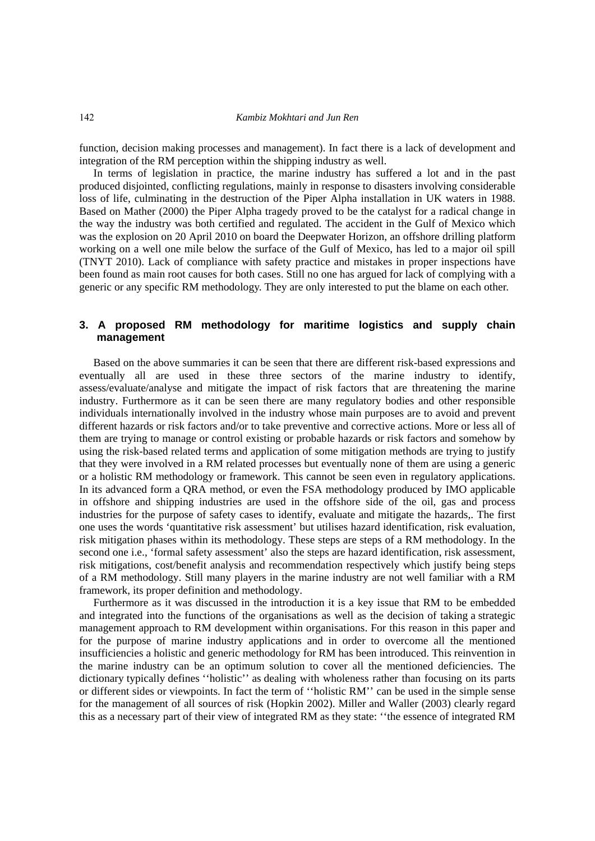function, decision making processes and management). In fact there is a lack of development and integration of the RM perception within the shipping industry as well.

In terms of legislation in practice, the marine industry has suffered a lot and in the past produced disjointed, conflicting regulations, mainly in response to disasters involving considerable loss of life, culminating in the destruction of the Piper Alpha installation in UK waters in 1988. Based on Mather (2000) the Piper Alpha tragedy proved to be the catalyst for a radical change in the way the industry was both certified and regulated. The accident in the Gulf of Mexico which was the explosion on 20 April 2010 on board the Deepwater Horizon, an offshore drilling platform working on a well one mile below the surface of the Gulf of Mexico, has led to a major oil spill (TNYT 2010). Lack of compliance with safety practice and mistakes in proper inspections have been found as main root causes for both cases. Still no one has argued for lack of complying with a generic or any specific RM methodology. They are only interested to put the blame on each other.

## **3. A proposed RM methodology for maritime logistics and supply chain management**

Based on the above summaries it can be seen that there are different risk-based expressions and eventually all are used in these three sectors of the marine industry to identify, assess/evaluate/analyse and mitigate the impact of risk factors that are threatening the marine industry. Furthermore as it can be seen there are many regulatory bodies and other responsible individuals internationally involved in the industry whose main purposes are to avoid and prevent different hazards or risk factors and/or to take preventive and corrective actions. More or less all of them are trying to manage or control existing or probable hazards or risk factors and somehow by using the risk-based related terms and application of some mitigation methods are trying to justify that they were involved in a RM related processes but eventually none of them are using a generic or a holistic RM methodology or framework. This cannot be seen even in regulatory applications. In its advanced form a QRA method, or even the FSA methodology produced by IMO applicable in offshore and shipping industries are used in the offshore side of the oil, gas and process industries for the purpose of safety cases to identify, evaluate and mitigate the hazards,. The first one uses the words 'quantitative risk assessment' but utilises hazard identification, risk evaluation, risk mitigation phases within its methodology. These steps are steps of a RM methodology. In the second one i.e., 'formal safety assessment' also the steps are hazard identification, risk assessment, risk mitigations, cost/benefit analysis and recommendation respectively which justify being steps of a RM methodology. Still many players in the marine industry are not well familiar with a RM framework, its proper definition and methodology.

Furthermore as it was discussed in the introduction it is a key issue that RM to be embedded and integrated into the functions of the organisations as well as the decision of taking a strategic management approach to RM development within organisations. For this reason in this paper and for the purpose of marine industry applications and in order to overcome all the mentioned insufficiencies a holistic and generic methodology for RM has been introduced. This reinvention in the marine industry can be an optimum solution to cover all the mentioned deficiencies. The dictionary typically defines ''holistic'' as dealing with wholeness rather than focusing on its parts or different sides or viewpoints. In fact the term of ''holistic RM'' can be used in the simple sense for the management of all sources of risk (Hopkin 2002). Miller and Waller (2003) clearly regard this as a necessary part of their view of integrated RM as they state: ''the essence of integrated RM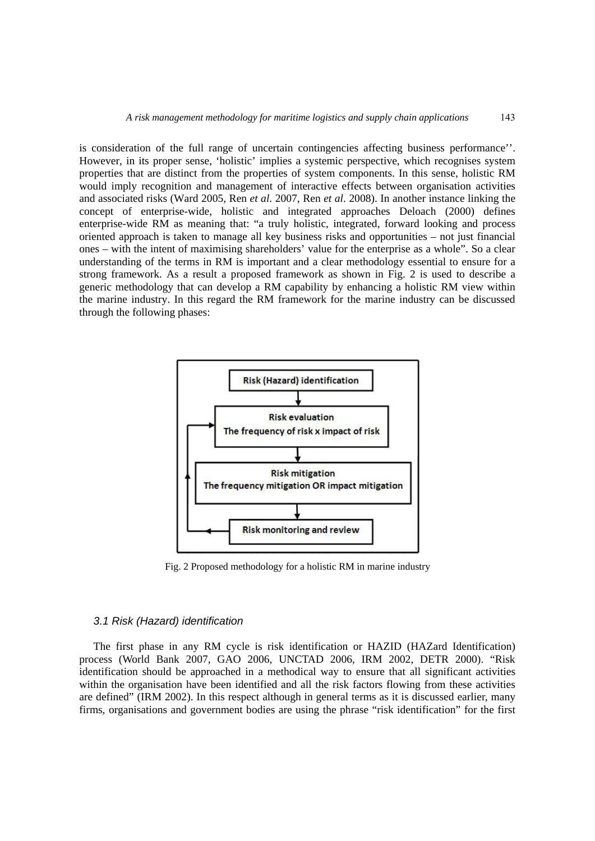is consideration of the full range of uncertain contingencies affecting business performance''. However, in its proper sense, 'holistic' implies a systemic perspective, which recognises system properties that are distinct from the properties of system components. In this sense, holistic RM would imply recognition and management of interactive effects between organisation activities and associated risks (Ward 2005, Ren *et al*. 2007, Ren *et al*. 2008). In another instance linking the concept of enterprise-wide, holistic and integrated approaches Deloach (2000) defines enterprise-wide RM as meaning that: "a truly holistic, integrated, forward looking and process oriented approach is taken to manage all key business risks and opportunities – not just financial ones – with the intent of maximising shareholders' value for the enterprise as a whole". So a clear understanding of the terms in RM is important and a clear methodology essential to ensure for a strong framework. As a result a proposed framework as shown in Fig. 2 is used to describe a generic methodology that can develop a RM capability by enhancing a holistic RM view within the marine industry. In this regard the RM framework for the marine industry can be discussed through the following phases:



Fig. 2 Proposed methodology for a holistic RM in marine industry

#### *3.1 Risk (Hazard) identification*

The first phase in any RM cycle is risk identification or HAZID (HAZard Identification) process (World Bank 2007, GAO 2006, UNCTAD 2006, IRM 2002, DETR 2000). "Risk identification should be approached in a methodical way to ensure that all significant activities within the organisation have been identified and all the risk factors flowing from these activities are defined" (IRM 2002). In this respect although in general terms as it is discussed earlier, many firms, organisations and government bodies are using the phrase "risk identification" for the first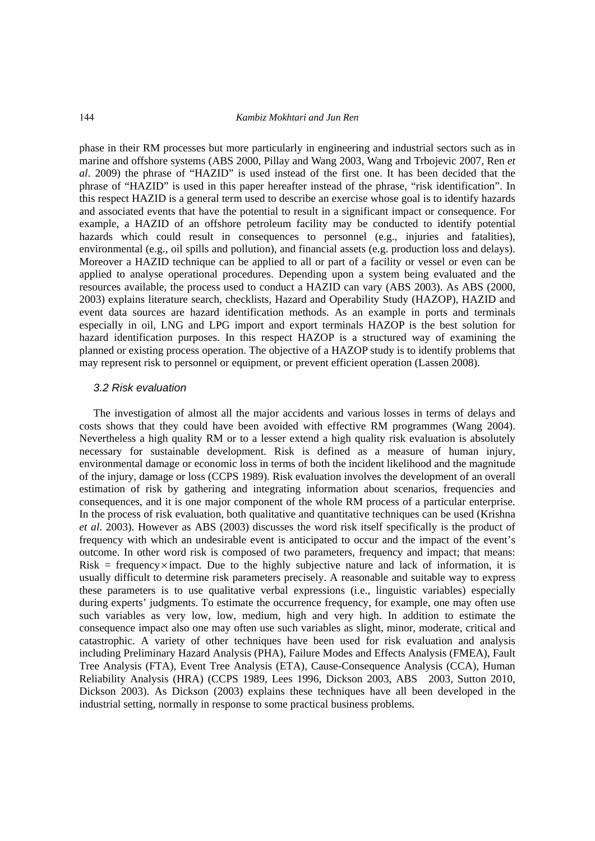phase in their RM processes but more particularly in engineering and industrial sectors such as in marine and offshore systems (ABS 2000, Pillay and Wang 2003, Wang and Trbojevic 2007, Ren *et al*. 2009) the phrase of "HAZID" is used instead of the first one. It has been decided that the phrase of "HAZID" is used in this paper hereafter instead of the phrase, "risk identification". In this respect HAZID is a general term used to describe an exercise whose goal is to identify hazards and associated events that have the potential to result in a significant impact or consequence. For example, a HAZID of an offshore petroleum facility may be conducted to identify potential hazards which could result in consequences to personnel (e.g., injuries and fatalities), environmental (e.g., oil spills and pollution), and financial assets (e.g. production loss and delays). Moreover a HAZID technique can be applied to all or part of a facility or vessel or even can be applied to analyse operational procedures. Depending upon a system being evaluated and the resources available, the process used to conduct a HAZID can vary (ABS 2003). As ABS (2000, 2003) explains literature search, checklists, Hazard and Operability Study (HAZOP), HAZID and event data sources are hazard identification methods. As an example in ports and terminals especially in oil, LNG and LPG import and export terminals HAZOP is the best solution for hazard identification purposes. In this respect HAZOP is a structured way of examining the planned or existing process operation. The objective of a HAZOP study is to identify problems that may represent risk to personnel or equipment, or prevent efficient operation (Lassen 2008).

#### *3.2 Risk evaluation*

The investigation of almost all the major accidents and various losses in terms of delays and costs shows that they could have been avoided with effective RM programmes (Wang 2004). Nevertheless a high quality RM or to a lesser extend a high quality risk evaluation is absolutely necessary for sustainable development. Risk is defined as a measure of human injury, environmental damage or economic loss in terms of both the incident likelihood and the magnitude of the injury, damage or loss (CCPS 1989). Risk evaluation involves the development of an overall estimation of risk by gathering and integrating information about scenarios, frequencies and consequences, and it is one major component of the whole RM process of a particular enterprise. In the process of risk evaluation, both qualitative and quantitative techniques can be used (Krishna *et al*. 2003). However as ABS (2003) discusses the word risk itself specifically is the product of frequency with which an undesirable event is anticipated to occur and the impact of the event's outcome. In other word risk is composed of two parameters, frequency and impact; that means: Risk = frequency  $\times$  impact. Due to the highly subjective nature and lack of information, it is usually difficult to determine risk parameters precisely. A reasonable and suitable way to express these parameters is to use qualitative verbal expressions (i.e., linguistic variables) especially during experts' judgments. To estimate the occurrence frequency, for example, one may often use such variables as very low, low, medium, high and very high. In addition to estimate the consequence impact also one may often use such variables as slight, minor, moderate, critical and catastrophic. A variety of other techniques have been used for risk evaluation and analysis including Preliminary Hazard Analysis (PHA), Failure Modes and Effects Analysis (FMEA), Fault Tree Analysis (FTA), Event Tree Analysis (ETA), Cause-Consequence Analysis (CCA), Human Reliability Analysis (HRA) (CCPS 1989, Lees 1996, Dickson 2003, ABS 2003, Sutton 2010, Dickson 2003). As Dickson (2003) explains these techniques have all been developed in the industrial setting, normally in response to some practical business problems.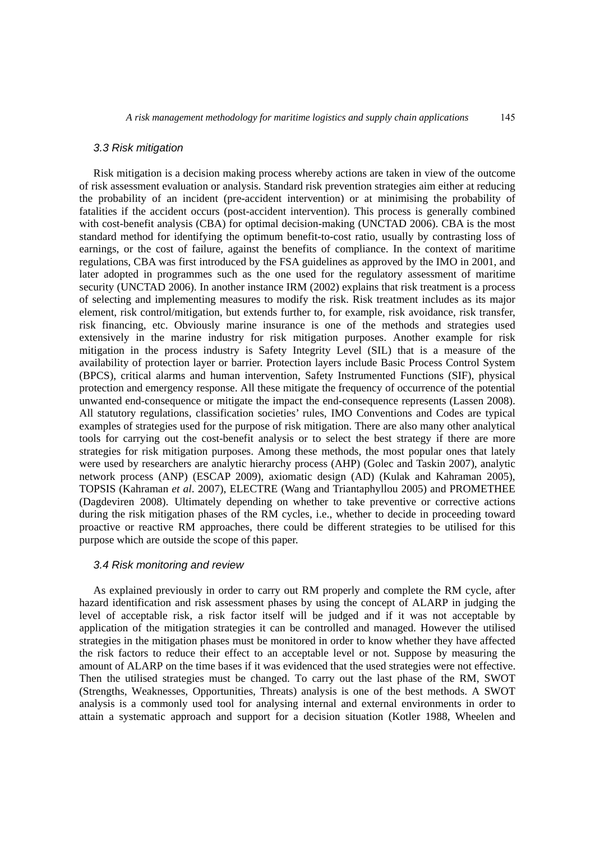#### *3.3 Risk mitigation*

Risk mitigation is a decision making process whereby actions are taken in view of the outcome of risk assessment evaluation or analysis. Standard risk prevention strategies aim either at reducing the probability of an incident (pre-accident intervention) or at minimising the probability of fatalities if the accident occurs (post-accident intervention). This process is generally combined with cost-benefit analysis (CBA) for optimal decision-making (UNCTAD 2006). CBA is the most standard method for identifying the optimum benefit-to-cost ratio, usually by contrasting loss of earnings, or the cost of failure, against the benefits of compliance. In the context of maritime regulations, CBA was first introduced by the FSA guidelines as approved by the IMO in 2001, and later adopted in programmes such as the one used for the regulatory assessment of maritime security (UNCTAD 2006). In another instance IRM (2002) explains that risk treatment is a process of selecting and implementing measures to modify the risk. Risk treatment includes as its major element, risk control/mitigation, but extends further to, for example, risk avoidance, risk transfer, risk financing, etc. Obviously marine insurance is one of the methods and strategies used extensively in the marine industry for risk mitigation purposes. Another example for risk mitigation in the process industry is Safety Integrity Level (SIL) that is a measure of the availability of protection layer or barrier. Protection layers include Basic Process Control System (BPCS), critical alarms and human intervention, Safety Instrumented Functions (SIF), physical protection and emergency response. All these mitigate the frequency of occurrence of the potential unwanted end-consequence or mitigate the impact the end-consequence represents (Lassen 2008). All statutory regulations, classification societies' rules, IMO Conventions and Codes are typical examples of strategies used for the purpose of risk mitigation. There are also many other analytical tools for carrying out the cost-benefit analysis or to select the best strategy if there are more strategies for risk mitigation purposes. Among these methods, the most popular ones that lately were used by researchers are analytic hierarchy process (AHP) (Golec and Taskin 2007), analytic network process (ANP) (ESCAP 2009), axiomatic design (AD) (Kulak and Kahraman 2005), TOPSIS (Kahraman *et al*. 2007), ELECTRE (Wang and Triantaphyllou 2005) and PROMETHEE (Dagdeviren 2008). Ultimately depending on whether to take preventive or corrective actions during the risk mitigation phases of the RM cycles, i.e., whether to decide in proceeding toward proactive or reactive RM approaches, there could be different strategies to be utilised for this purpose which are outside the scope of this paper.

#### *3.4 Risk monitoring and review*

As explained previously in order to carry out RM properly and complete the RM cycle, after hazard identification and risk assessment phases by using the concept of ALARP in judging the level of acceptable risk, a risk factor itself will be judged and if it was not acceptable by application of the mitigation strategies it can be controlled and managed. However the utilised strategies in the mitigation phases must be monitored in order to know whether they have affected the risk factors to reduce their effect to an acceptable level or not. Suppose by measuring the amount of ALARP on the time bases if it was evidenced that the used strategies were not effective. Then the utilised strategies must be changed. To carry out the last phase of the RM, SWOT (Strengths, Weaknesses, Opportunities, Threats) analysis is one of the best methods. A SWOT analysis is a commonly used tool for analysing internal and external environments in order to attain a systematic approach and support for a decision situation (Kotler 1988, Wheelen and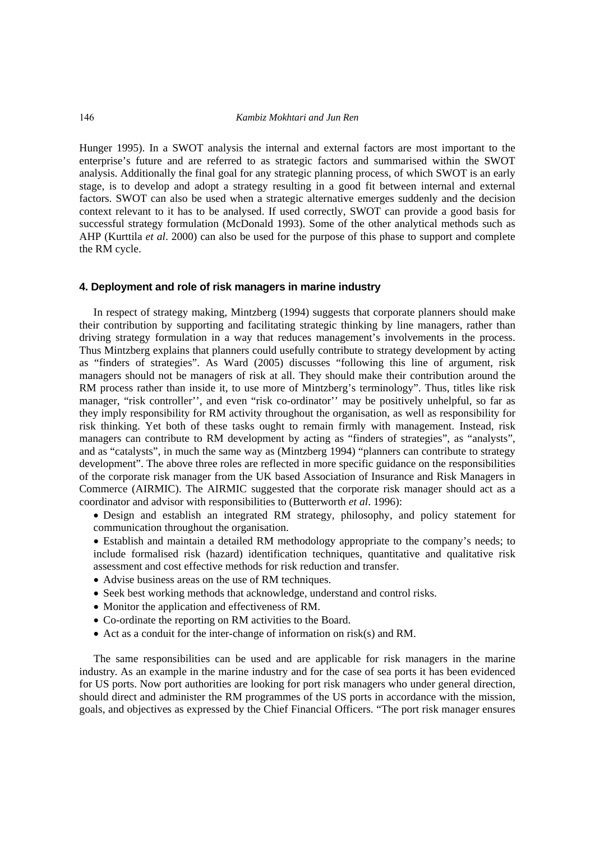Hunger 1995). In a SWOT analysis the internal and external factors are most important to the enterprise's future and are referred to as strategic factors and summarised within the SWOT analysis. Additionally the final goal for any strategic planning process, of which SWOT is an early stage, is to develop and adopt a strategy resulting in a good fit between internal and external factors. SWOT can also be used when a strategic alternative emerges suddenly and the decision context relevant to it has to be analysed. If used correctly, SWOT can provide a good basis for successful strategy formulation (McDonald 1993). Some of the other analytical methods such as AHP (Kurttila *et al*. 2000) can also be used for the purpose of this phase to support and complete the RM cycle.

#### **4. Deployment and role of risk managers in marine industry**

In respect of strategy making, Mintzberg (1994) suggests that corporate planners should make their contribution by supporting and facilitating strategic thinking by line managers, rather than driving strategy formulation in a way that reduces management's involvements in the process. Thus Mintzberg explains that planners could usefully contribute to strategy development by acting as "finders of strategies". As Ward (2005) discusses "following this line of argument, risk managers should not be managers of risk at all. They should make their contribution around the RM process rather than inside it, to use more of Mintzberg's terminology". Thus, titles like risk manager, "risk controller", and even "risk co-ordinator" may be positively unhelpful, so far as they imply responsibility for RM activity throughout the organisation, as well as responsibility for risk thinking. Yet both of these tasks ought to remain firmly with management. Instead, risk managers can contribute to RM development by acting as "finders of strategies", as "analysts", and as "catalysts", in much the same way as (Mintzberg 1994) "planners can contribute to strategy development". The above three roles are reflected in more specific guidance on the responsibilities of the corporate risk manager from the UK based Association of Insurance and Risk Managers in Commerce (AIRMIC). The AIRMIC suggested that the corporate risk manager should act as a coordinator and advisor with responsibilities to (Butterworth *et al*. 1996):

 Design and establish an integrated RM strategy, philosophy, and policy statement for communication throughout the organisation.

 Establish and maintain a detailed RM methodology appropriate to the company's needs; to include formalised risk (hazard) identification techniques, quantitative and qualitative risk assessment and cost effective methods for risk reduction and transfer.

- Advise business areas on the use of RM techniques.
- Seek best working methods that acknowledge, understand and control risks.
- Monitor the application and effectiveness of RM.
- Co-ordinate the reporting on RM activities to the Board.
- Act as a conduit for the inter-change of information on risk(s) and RM.

The same responsibilities can be used and are applicable for risk managers in the marine industry. As an example in the marine industry and for the case of sea ports it has been evidenced for US ports. Now port authorities are looking for port risk managers who under general direction, should direct and administer the RM programmes of the US ports in accordance with the mission, goals, and objectives as expressed by the Chief Financial Officers. "The port risk manager ensures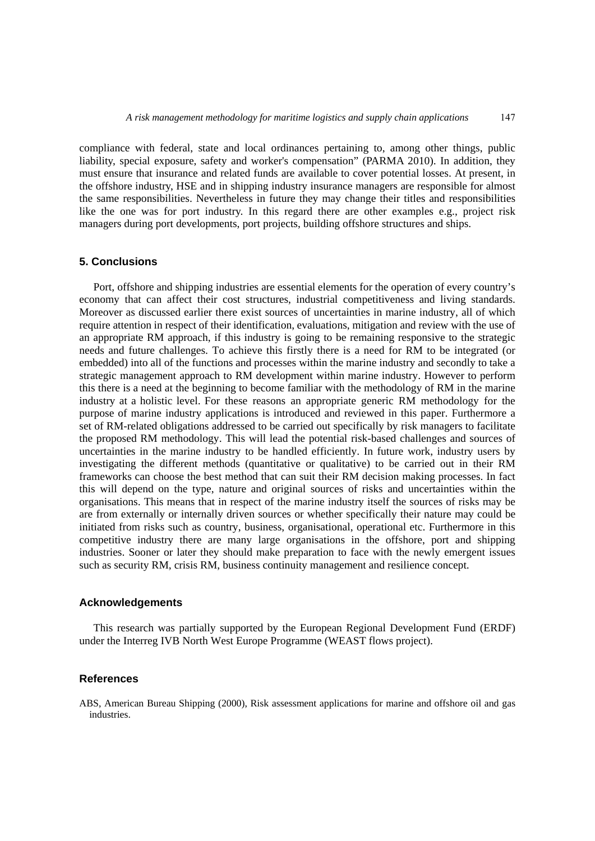compliance with federal, state and local ordinances pertaining to, among other things, public liability, special exposure, safety and worker's compensation" (PARMA 2010). In addition, they must ensure that insurance and related funds are available to cover potential losses. At present, in the offshore industry, HSE and in shipping industry insurance managers are responsible for almost the same responsibilities. Nevertheless in future they may change their titles and responsibilities like the one was for port industry. In this regard there are other examples e.g., project risk managers during port developments, port projects, building offshore structures and ships.

### **5. Conclusions**

Port, offshore and shipping industries are essential elements for the operation of every country's economy that can affect their cost structures, industrial competitiveness and living standards. Moreover as discussed earlier there exist sources of uncertainties in marine industry, all of which require attention in respect of their identification, evaluations, mitigation and review with the use of an appropriate RM approach, if this industry is going to be remaining responsive to the strategic needs and future challenges. To achieve this firstly there is a need for RM to be integrated (or embedded) into all of the functions and processes within the marine industry and secondly to take a strategic management approach to RM development within marine industry. However to perform this there is a need at the beginning to become familiar with the methodology of RM in the marine industry at a holistic level. For these reasons an appropriate generic RM methodology for the purpose of marine industry applications is introduced and reviewed in this paper. Furthermore a set of RM-related obligations addressed to be carried out specifically by risk managers to facilitate the proposed RM methodology. This will lead the potential risk-based challenges and sources of uncertainties in the marine industry to be handled efficiently. In future work, industry users by investigating the different methods (quantitative or qualitative) to be carried out in their RM frameworks can choose the best method that can suit their RM decision making processes. In fact this will depend on the type, nature and original sources of risks and uncertainties within the organisations. This means that in respect of the marine industry itself the sources of risks may be are from externally or internally driven sources or whether specifically their nature may could be initiated from risks such as country, business, organisational, operational etc. Furthermore in this competitive industry there are many large organisations in the offshore, port and shipping industries. Sooner or later they should make preparation to face with the newly emergent issues such as security RM, crisis RM, business continuity management and resilience concept.

#### **Acknowledgements**

This research was partially supported by the European Regional Development Fund (ERDF) under the Interreg IVB North West Europe Programme (WEAST flows project).

#### **References**

ABS, American Bureau Shipping (2000), Risk assessment applications for marine and offshore oil and gas industries.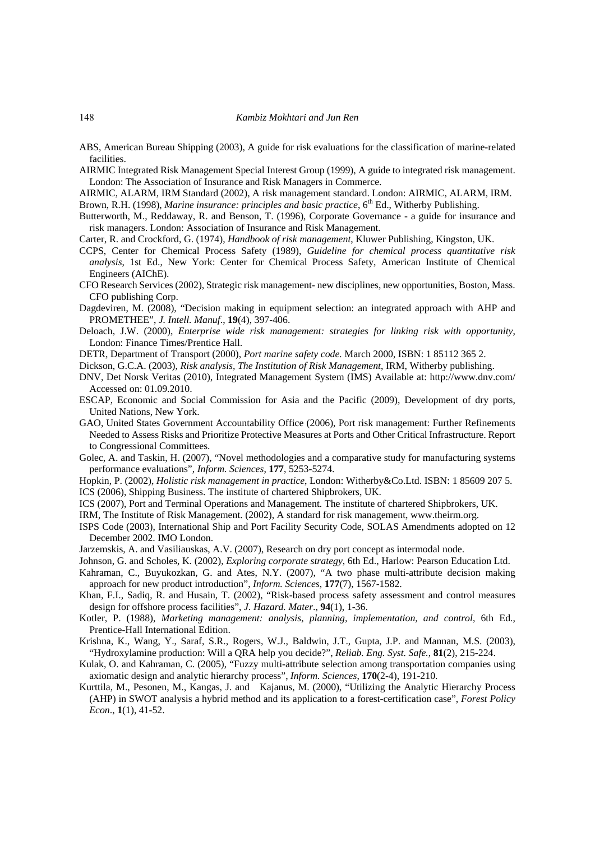#### *Kambiz Mokhtari and Jun Ren*

- ABS, American Bureau Shipping (2003), A guide for risk evaluations for the classification of marine-related facilities.
- AIRMIC Integrated Risk Management Special Interest Group (1999), A guide to integrated risk management. London: The Association of Insurance and Risk Managers in Commerce.
- AIRMIC, ALARM, IRM Standard (2002), A risk management standard. London: AIRMIC, ALARM, IRM. Brown, R.H. (1998), *Marine insurance: principles and basic practice*, 6<sup>th</sup> Ed., Witherby Publishing.
- 
- Butterworth, M., Reddaway, R. and Benson, T. (1996), Corporate Governance a guide for insurance and risk managers. London: Association of Insurance and Risk Management.
- Carter, R. and Crockford, G. (1974), *Handbook of risk management*, Kluwer Publishing, Kingston, UK.
- CCPS, Center for Chemical Process Safety (1989), *Guideline for chemical process quantitative risk analysis*, 1st Ed., New York: Center for Chemical Process Safety, American Institute of Chemical Engineers (AIChE).
- CFO Research Services (2002), Strategic risk management- new disciplines, new opportunities, Boston, Mass. CFO publishing Corp.
- Dagdeviren, M. (2008), "Decision making in equipment selection: an integrated approach with AHP and PROMETHEE", *J. Intell. Manuf*., **19**(4), 397-406.
- Deloach, J.W. (2000), *Enterprise wide risk management: strategies for linking risk with opportunity*, London: Finance Times/Prentice Hall.
- DETR, Department of Transport (2000), *Port marine safety code.* March 2000, ISBN: 1 85112 365 2.
- Dickson, G.C.A. (2003), *Risk analysis, The Institution of Risk Management*, IRM, Witherby publishing.
- DNV, Det Norsk Veritas (2010), Integrated Management System (IMS) Available at: http://www.dnv.com/ Accessed on: 01.09.2010.
- ESCAP, Economic and Social Commission for Asia and the Pacific (2009), Development of dry ports, United Nations, New York.
- GAO, United States Government Accountability Office (2006), Port risk management: Further Refinements Needed to Assess Risks and Prioritize Protective Measures at Ports and Other Critical Infrastructure. Report to Congressional Committees.
- Golec, A. and Taskin, H. (2007), "Novel methodologies and a comparative study for manufacturing systems performance evaluations", *Inform. Sciences*, **177**, 5253-5274.
- Hopkin, P. (2002), *Holistic risk management in practice*, London: Witherby&Co.Ltd. ISBN: 1 85609 207 5.
- ICS (2006), Shipping Business. The institute of chartered Shipbrokers, UK.
- ICS (2007), Port and Terminal Operations and Management. The institute of chartered Shipbrokers, UK.
- IRM, The Institute of Risk Management. (2002), A standard for risk management, www.theirm.org.
- ISPS Code (2003), International Ship and Port Facility Security Code, SOLAS Amendments adopted on 12 December 2002. IMO London.
- Jarzemskis, A. and Vasiliauskas, A.V. (2007), Research on dry port concept as intermodal node.
- Johnson, G. and Scholes, K. (2002), *Exploring corporate strategy*, 6th Ed., Harlow: Pearson Education Ltd.
- Kahraman, C., Buyukozkan, G. and Ates, N.Y. (2007), "A two phase multi-attribute decision making approach for new product introduction", *Inform. Sciences*, **177**(7), 1567-1582.
- Khan, F.I., Sadiq, R. and Husain, T. (2002), "Risk-based process safety assessment and control measures design for offshore process facilities", *J. Hazard. Mater*., **94**(1), 1-36.
- Kotler, P. (1988), *Marketing management: analysis, planning, implementation, and control*, 6th Ed., Prentice-Hall International Edition.
- Krishna, K., Wang, Y., Saraf, S.R., Rogers, W.J., Baldwin, J.T., Gupta, J.P. and Mannan, M.S. (2003), "Hydroxylamine production: Will a QRA help you decide?", *Reliab. Eng. Syst. Safe.*, **81**(2), 215-224.
- Kulak, O. and Kahraman, C. (2005), "Fuzzy multi-attribute selection among transportation companies using axiomatic design and analytic hierarchy process", *Inform. Sciences*, **170**(2-4), 191-210.
- Kurttila, M., Pesonen, M., Kangas, J. and Kajanus, M. (2000), "Utilizing the Analytic Hierarchy Process (AHP) in SWOT analysis a hybrid method and its application to a forest-certification case", *Forest Policy Econ*., **1**(1), 41-52.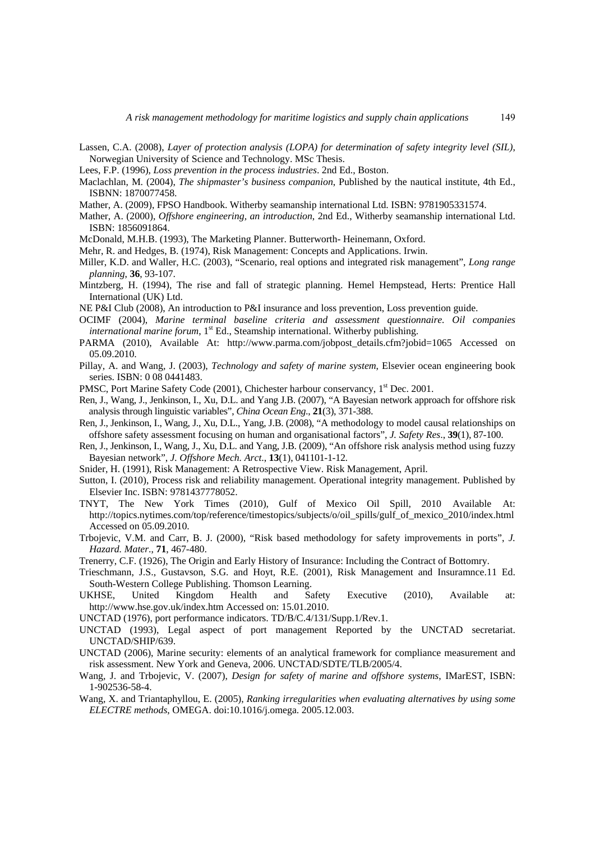- Lassen, C.A. (2008), *Layer of protection analysis (LOPA) for determination of safety integrity level (SIL)*, Norwegian University of Science and Technology. MSc Thesis.
- Lees, F.P. (1996), *Loss prevention in the process industries*. 2nd Ed., Boston.
- Maclachlan, M. (2004), *The shipmaster's business companion*, Published by the nautical institute, 4th Ed., ISBNN: 1870077458.
- Mather, A. (2009), FPSO Handbook. Witherby seamanship international Ltd. ISBN: 9781905331574.
- Mather, A. (2000), *Offshore engineering, an introduction*, 2nd Ed., Witherby seamanship international Ltd. ISBN: 1856091864.
- McDonald, M.H.B. (1993), The Marketing Planner. Butterworth- Heinemann, Oxford.
- Mehr, R. and Hedges, B. (1974), Risk Management: Concepts and Applications. Irwin.
- Miller, K.D. and Waller, H.C. (2003), "Scenario, real options and integrated risk management", *Long range planning*, **36**, 93-107.
- Mintzberg, H. (1994), The rise and fall of strategic planning. Hemel Hempstead, Herts: Prentice Hall International (UK) Ltd.
- NE P&I Club (2008), An introduction to P&I insurance and loss prevention, Loss prevention guide.
- OCIMF (2004), *Marine terminal baseline criteria and assessment questionnaire. Oil companies*  international marine forum, 1<sup>st</sup> Ed., Steamship international. Witherby publishing.
- PARMA (2010), Available At: http://www.parma.com/jobpost\_details.cfm?jobid=1065 Accessed on 05.09.2010.
- Pillay, A. and Wang, J. (2003), *Technology and safety of marine system*, Elsevier ocean engineering book series. ISBN: 0 08 0441483.
- PMSC, Port Marine Safety Code (2001), Chichester harbour conservancy, 1<sup>st</sup> Dec. 2001.
- Ren, J., Wang, J., Jenkinson, I., Xu, D.L. and Yang J.B. (2007), "A Bayesian network approach for offshore risk analysis through linguistic variables", *China Ocean Eng*., **21**(3), 371-388.
- Ren, J., Jenkinson, I., Wang, J., Xu, D.L., Yang, J.B. (2008), "A methodology to model causal relationships on offshore safety assessment focusing on human and organisational factors", *J. Safety Res*., **39**(1), 87-100.
- Ren, J., Jenkinson, I., Wang, J., Xu, D.L. and Yang, J.B. (2009), "An offshore risk analysis method using fuzzy Bayesian network", *J. Offshore Mech. Arct*., **13**(1), 041101-1-12.
- Snider, H. (1991), Risk Management: A Retrospective View. Risk Management, April.
- Sutton, I. (2010), Process risk and reliability management. Operational integrity management. Published by Elsevier Inc. ISBN: 9781437778052.
- TNYT, The New York Times (2010), Gulf of Mexico Oil Spill, 2010 Available At: http://topics.nytimes.com/top/reference/timestopics/subjects/o/oil\_spills/gulf\_of\_mexico\_2010/index.html Accessed on 05.09.2010.
- Trbojevic, V.M. and Carr, B. J. (2000), "Risk based methodology for safety improvements in ports", *J. Hazard. Mater*., **71**, 467-480.
- Trenerry, C.F. (1926), The Origin and Early History of Insurance: Including the Contract of Bottomry.
- Trieschmann, J.S., Gustavson, S.G. and Hoyt, R.E. (2001), Risk Management and Insuramnce.11 Ed. South-Western College Publishing. Thomson Learning.
- UKHSE, United Kingdom Health and Safety Executive (2010), Available at: http://www.hse.gov.uk/index.htm Accessed on: 15.01.2010.
- UNCTAD (1976), port performance indicators. TD/B/C.4/131/Supp.1/Rev.1.
- UNCTAD (1993), Legal aspect of port management Reported by the UNCTAD secretariat. UNCTAD/SHIP/639.
- UNCTAD (2006), Marine security: elements of an analytical framework for compliance measurement and risk assessment. New York and Geneva, 2006. UNCTAD/SDTE/TLB/2005/4.
- Wang, J. and Trbojevic, V. (2007), *Design for safety of marine and offshore systems*, IMarEST, ISBN: 1-902536-58-4.
- Wang, X. and Triantaphyllou, E. (2005), *Ranking irregularities when evaluating alternatives by using some ELECTRE methods*, OMEGA. doi:10.1016/j.omega. 2005.12.003.